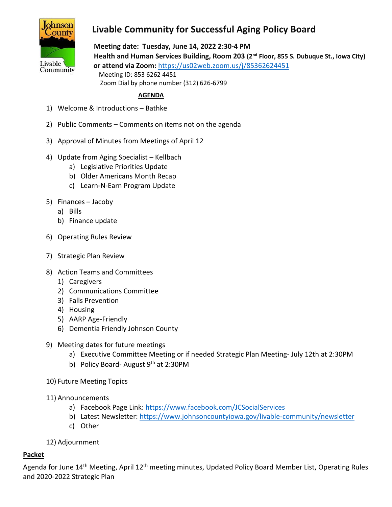

## **Livable Community for Successful Aging Policy Board**

 **Meeting date: Tuesday, June 14, 2022 2:30-4 PM Health and Human Services Building, Room 203 (2nd Floor, 855 S. Dubuque St., Iowa City) or attend via Zoom:** <https://us02web.zoom.us/j/85362624451> Meeting ID: 853 6262 4451 Zoom Dial by phone number (312) 626-6799

## **AGENDA**

- 1) Welcome & Introductions Bathke
- 2) Public Comments Comments on items not on the agenda
- 3) Approval of Minutes from Meetings of April 12
- 4) Update from Aging Specialist Kellbach
	- a) Legislative Priorities Update
	- b) Older Americans Month Recap
	- c) Learn-N-Earn Program Update
- 5) Finances Jacoby
	- a) Bills
	- b) Finance update
- 6) Operating Rules Review
- 7) Strategic Plan Review
- 8) Action Teams and Committees
	- 1) Caregivers
	- 2) Communications Committee
	- 3) Falls Prevention
	- 4) Housing
	- 5) AARP Age-Friendly
	- 6) Dementia Friendly Johnson County
- 9) Meeting dates for future meetings
	- a) Executive Committee Meeting or if needed Strategic Plan Meeting- July 12th at 2:30PM
	- b) Policy Board- August  $9<sup>th</sup>$  at 2:30PM
- 10) Future Meeting Topics
- 11) Announcements
	- a) Facebook Page Link:<https://www.facebook.com/JCSocialServices>
	- b) Latest Newsletter: <https://www.johnsoncountyiowa.gov/livable-community/newsletter>
	- c) Other

12) Adjournment

## **Packet**

Agenda for June 14<sup>th</sup> Meeting, April 12<sup>th</sup> meeting minutes, Updated Policy Board Member List, Operating Rules and 2020-2022 Strategic Plan